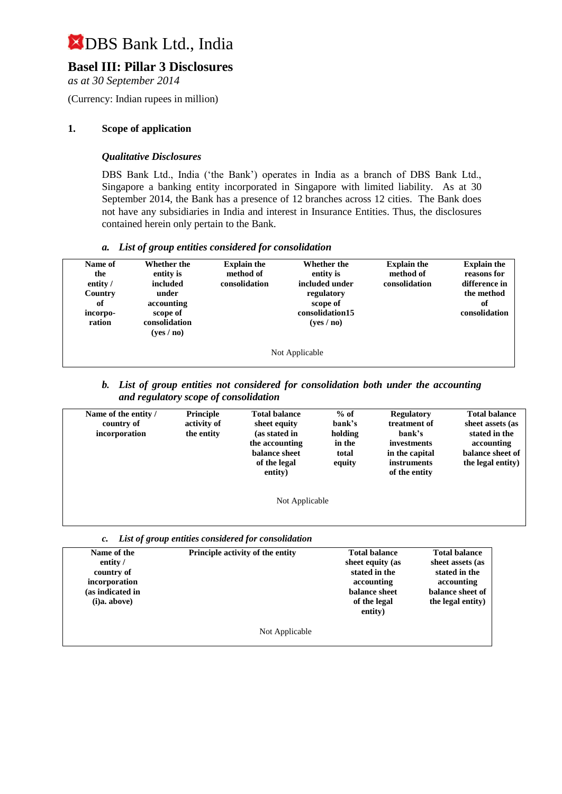### **Basel III: Pillar 3 Disclosures**

*as at 30 September 2014*

(Currency: Indian rupees in million)

#### **1. Scope of application**

#### *Qualitative Disclosures*

DBS Bank Ltd., India ('the Bank') operates in India as a branch of DBS Bank Ltd., Singapore a banking entity incorporated in Singapore with limited liability. As at 30 September 2014, the Bank has a presence of 12 branches across 12 cities. The Bank does not have any subsidiaries in India and interest in Insurance Entities. Thus, the disclosures contained herein only pertain to the Bank.

#### *a. List of group entities considered for consolidation*

| Name of<br>the<br>entity /<br>Country<br>of<br>incorpo-<br>ration | <b>Whether the</b><br>entity is<br>included<br>under<br>accounting<br>scope of<br>consolidation<br>(yes / no) | <b>Explain the</b><br>method of<br>consolidation | Whether the<br>entity is<br>included under<br>regulatory<br>scope of<br>consolidation15<br>(yes/no) | <b>Explain the</b><br>method of<br>consolidation | <b>Explain the</b><br>reasons for<br>difference in<br>the method<br>of<br>consolidation |  |
|-------------------------------------------------------------------|---------------------------------------------------------------------------------------------------------------|--------------------------------------------------|-----------------------------------------------------------------------------------------------------|--------------------------------------------------|-----------------------------------------------------------------------------------------|--|
| Not Applicable                                                    |                                                                                                               |                                                  |                                                                                                     |                                                  |                                                                                         |  |

#### *b. List of group entities not considered for consolidation both under the accounting and regulatory scope of consolidation*

| Name of the entity /<br>country of<br>incorporation | Principle<br>activity of<br>the entity | <b>Total balance</b><br>sheet equity<br>(as stated in<br>the accounting<br>balance sheet<br>of the legal<br>entity) | $%$ of<br>bank's<br>holding<br>in the<br>total<br>equity | <b>Regulatory</b><br>treatment of<br>bank's<br>investments<br>in the capital<br><i>instruments</i><br>of the entity | <b>Total balance</b><br>sheet assets (as<br>stated in the<br>accounting<br>balance sheet of<br>the legal entity) |
|-----------------------------------------------------|----------------------------------------|---------------------------------------------------------------------------------------------------------------------|----------------------------------------------------------|---------------------------------------------------------------------------------------------------------------------|------------------------------------------------------------------------------------------------------------------|
|                                                     |                                        | Not Applicable                                                                                                      |                                                          |                                                                                                                     |                                                                                                                  |

| c. List of group entities considered for consolidation |  |  |
|--------------------------------------------------------|--|--|
|                                                        |  |  |

| Name of the            | Principle activity of the entity | <b>Total balance</b> | <b>Total balance</b> |
|------------------------|----------------------------------|----------------------|----------------------|
| entity $\overline{\ }$ |                                  | sheet equity (as     | sheet assets (as     |
| country of             |                                  | stated in the        | stated in the        |
| incorporation          |                                  | accounting           | accounting           |
| (as indicated in       |                                  | balance sheet        | balance sheet of     |
| (i)a. above)           |                                  | of the legal         | the legal entity)    |
|                        |                                  | entity)              |                      |
|                        | Not Applicable                   |                      |                      |

Not Applicable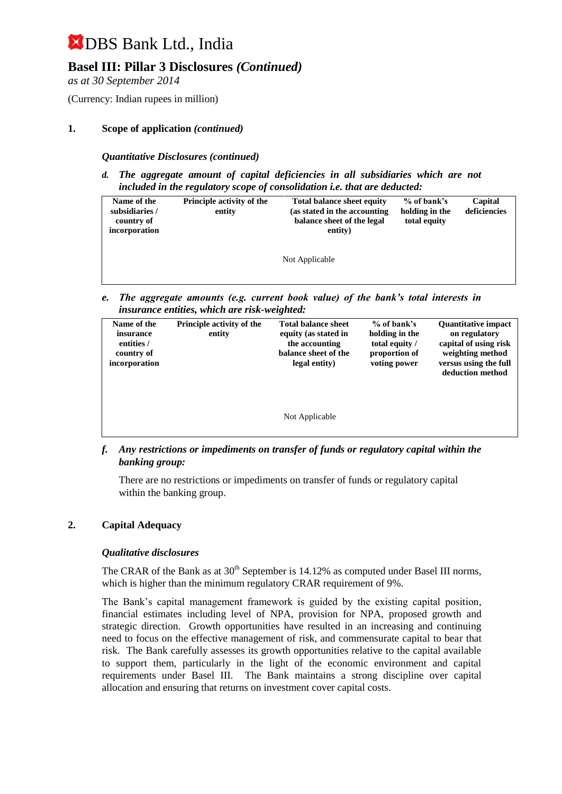### **Basel III: Pillar 3 Disclosures** *(Continued)*

*as at 30 September 2014*

(Currency: Indian rupees in million)

#### **1. Scope of application** *(continued)*

*Quantitative Disclosures (continued)*

*d. The aggregate amount of capital deficiencies in all subsidiaries which are not included in the regulatory scope of consolidation i.e. that are deducted:*

| Name of the<br>subsidiaries /<br>country of<br>incorporation | <b>Principle activity of the</b><br>entity | <b>Total balance sheet equity</b><br>(as stated in the accounting)<br>balance sheet of the legal<br>entity) | $%$ of bank's<br>holding in the<br>total equity | Capital<br>deficiencies |
|--------------------------------------------------------------|--------------------------------------------|-------------------------------------------------------------------------------------------------------------|-------------------------------------------------|-------------------------|
|                                                              |                                            | Not Applicable                                                                                              |                                                 |                         |

*e. The aggregate amounts (e.g. current book value) of the bank's total interests in insurance entities, which are risk-weighted:*

| Name of the<br>insurance<br>entities /<br>country of<br>incorporation | <b>Principle activity of the</b><br>entity | <b>Total balance sheet</b><br>equity (as stated in<br>the accounting<br>balance sheet of the<br>legal entity) | $%$ of bank's<br>holding in the<br>total equity /<br>proportion of<br>voting power | <b>Quantitative impact</b><br>on regulatory<br>capital of using risk<br>weighting method<br>versus using the full<br>deduction method |
|-----------------------------------------------------------------------|--------------------------------------------|---------------------------------------------------------------------------------------------------------------|------------------------------------------------------------------------------------|---------------------------------------------------------------------------------------------------------------------------------------|
|                                                                       |                                            | Not Applicable                                                                                                |                                                                                    |                                                                                                                                       |

*f. Any restrictions or impediments on transfer of funds or regulatory capital within the banking group:*

There are no restrictions or impediments on transfer of funds or regulatory capital within the banking group.

#### **2. Capital Adequacy**

#### *Qualitative disclosures*

The CRAR of the Bank as at  $30<sup>th</sup>$  September is 14.12% as computed under Basel III norms, which is higher than the minimum regulatory CRAR requirement of 9%.

The Bank's capital management framework is guided by the existing capital position, financial estimates including level of NPA, provision for NPA, proposed growth and strategic direction. Growth opportunities have resulted in an increasing and continuing need to focus on the effective management of risk, and commensurate capital to bear that risk. The Bank carefully assesses its growth opportunities relative to the capital available to support them, particularly in the light of the economic environment and capital requirements under Basel III. The Bank maintains a strong discipline over capital allocation and ensuring that returns on investment cover capital costs.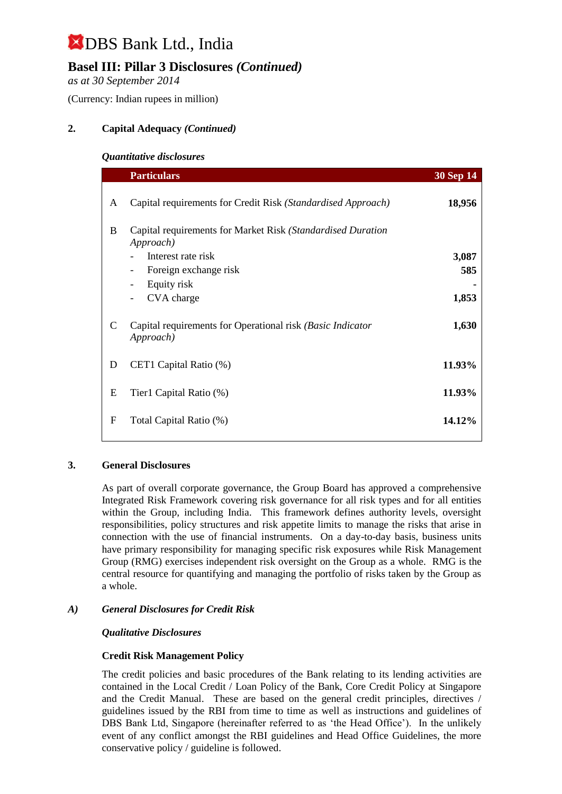## **Basel III: Pillar 3 Disclosures** *(Continued)*

*as at 30 September 2014*

(Currency: Indian rupees in million)

#### **2. Capital Adequacy** *(Continued)*

#### *Quantitative disclosures*

|              | <b>Particulars</b>                                                       | <b>30 Sep 14</b> |
|--------------|--------------------------------------------------------------------------|------------------|
| A            | Capital requirements for Credit Risk (Standardised Approach)             | 18,956           |
| B            | Capital requirements for Market Risk (Standardised Duration<br>Approach) |                  |
|              | Interest rate risk                                                       | 3,087            |
|              | Foreign exchange risk<br>$\qquad \qquad -$                               | 585              |
|              | Equity risk<br>$\overline{\phantom{a}}$                                  |                  |
|              | CVA charge                                                               | 1,853            |
| $\mathsf{C}$ | Capital requirements for Operational risk (Basic Indicator<br>Approach)  | 1,630            |
| D            | CET1 Capital Ratio (%)                                                   | 11.93%           |
| E            | Tier1 Capital Ratio (%)                                                  | 11.93%           |
| F            | Total Capital Ratio (%)                                                  | 14.12%           |

#### **3. General Disclosures**

As part of overall corporate governance, the Group Board has approved a comprehensive Integrated Risk Framework covering risk governance for all risk types and for all entities within the Group, including India. This framework defines authority levels, oversight responsibilities, policy structures and risk appetite limits to manage the risks that arise in connection with the use of financial instruments. On a day-to-day basis, business units have primary responsibility for managing specific risk exposures while Risk Management Group (RMG) exercises independent risk oversight on the Group as a whole. RMG is the central resource for quantifying and managing the portfolio of risks taken by the Group as a whole.

#### *A) General Disclosures for Credit Risk*

#### *Qualitative Disclosures*

#### **Credit Risk Management Policy**

The credit policies and basic procedures of the Bank relating to its lending activities are contained in the Local Credit / Loan Policy of the Bank, Core Credit Policy at Singapore and the Credit Manual. These are based on the general credit principles, directives / guidelines issued by the RBI from time to time as well as instructions and guidelines of DBS Bank Ltd, Singapore (hereinafter referred to as 'the Head Office'). In the unlikely event of any conflict amongst the RBI guidelines and Head Office Guidelines, the more conservative policy / guideline is followed.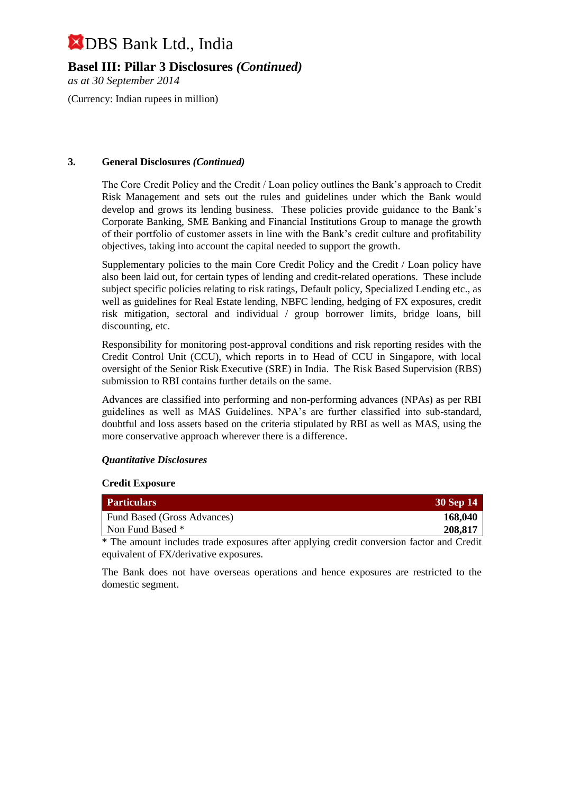**Basel III: Pillar 3 Disclosures** *(Continued)*

*as at 30 September 2014*

(Currency: Indian rupees in million)

#### **3. General Disclosures** *(Continued)*

The Core Credit Policy and the Credit / Loan policy outlines the Bank's approach to Credit Risk Management and sets out the rules and guidelines under which the Bank would develop and grows its lending business. These policies provide guidance to the Bank's Corporate Banking, SME Banking and Financial Institutions Group to manage the growth of their portfolio of customer assets in line with the Bank's credit culture and profitability objectives, taking into account the capital needed to support the growth.

Supplementary policies to the main Core Credit Policy and the Credit / Loan policy have also been laid out, for certain types of lending and credit-related operations. These include subject specific policies relating to risk ratings, Default policy, Specialized Lending etc., as well as guidelines for Real Estate lending, NBFC lending, hedging of FX exposures, credit risk mitigation, sectoral and individual / group borrower limits, bridge loans, bill discounting, etc.

Responsibility for monitoring post-approval conditions and risk reporting resides with the Credit Control Unit (CCU), which reports in to Head of CCU in Singapore, with local oversight of the Senior Risk Executive (SRE) in India. The Risk Based Supervision (RBS) submission to RBI contains further details on the same.

Advances are classified into performing and non-performing advances (NPAs) as per RBI guidelines as well as MAS Guidelines. NPA's are further classified into sub-standard, doubtful and loss assets based on the criteria stipulated by RBI as well as MAS, using the more conservative approach wherever there is a difference.

#### *Quantitative Disclosures*

#### **Credit Exposure**

| <b>Particulars</b>                    |  |  | 30 Sep 14     |
|---------------------------------------|--|--|---------------|
| Fund Based (Gross Advances)           |  |  | 168,040       |
| Non Fund Based *                      |  |  | 208,817       |
| $\mathbf{r}$ . The state $\mathbf{r}$ |  |  | $\sim$ $\sim$ |

\* The amount includes trade exposures after applying credit conversion factor and Credit equivalent of FX/derivative exposures.

The Bank does not have overseas operations and hence exposures are restricted to the domestic segment.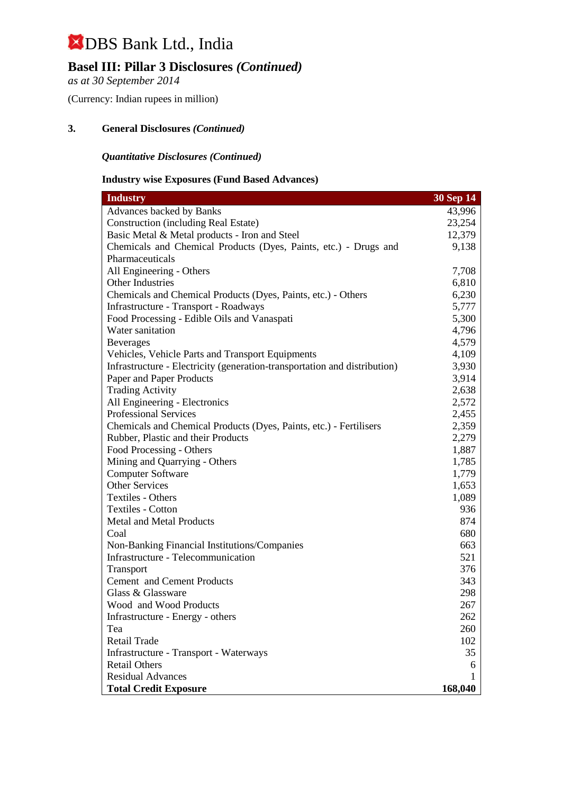## **Basel III: Pillar 3 Disclosures** *(Continued)*

*as at 30 September 2014*

(Currency: Indian rupees in million)

#### **3. General Disclosures** *(Continued)*

#### *Quantitative Disclosures (Continued)*

#### **Industry wise Exposures (Fund Based Advances)**

| <b>Industry</b>                                                           | $30$ Sep $14$ |
|---------------------------------------------------------------------------|---------------|
| <b>Advances backed by Banks</b>                                           | 43,996        |
| <b>Construction (including Real Estate)</b>                               | 23,254        |
| Basic Metal & Metal products - Iron and Steel                             | 12,379        |
| Chemicals and Chemical Products (Dyes, Paints, etc.) - Drugs and          | 9,138         |
| Pharmaceuticals                                                           |               |
| All Engineering - Others                                                  | 7,708         |
| Other Industries                                                          | 6,810         |
| Chemicals and Chemical Products (Dyes, Paints, etc.) - Others             | 6,230         |
| Infrastructure - Transport - Roadways                                     | 5,777         |
| Food Processing - Edible Oils and Vanaspati                               | 5,300         |
| Water sanitation                                                          | 4,796         |
| <b>Beverages</b>                                                          | 4,579         |
| Vehicles, Vehicle Parts and Transport Equipments                          | 4,109         |
| Infrastructure - Electricity (generation-transportation and distribution) | 3,930         |
| Paper and Paper Products                                                  | 3,914         |
| <b>Trading Activity</b>                                                   | 2,638         |
| All Engineering - Electronics                                             | 2,572         |
| <b>Professional Services</b>                                              | 2,455         |
| Chemicals and Chemical Products (Dyes, Paints, etc.) - Fertilisers        | 2,359         |
| Rubber, Plastic and their Products                                        | 2,279         |
| Food Processing - Others                                                  | 1,887         |
| Mining and Quarrying - Others                                             | 1,785         |
| <b>Computer Software</b>                                                  | 1,779         |
| <b>Other Services</b>                                                     | 1,653         |
| <b>Textiles - Others</b>                                                  | 1,089         |
| <b>Textiles - Cotton</b>                                                  | 936           |
| <b>Metal and Metal Products</b>                                           | 874           |
| Coal                                                                      | 680           |
| Non-Banking Financial Institutions/Companies                              | 663           |
| Infrastructure - Telecommunication                                        | 521           |
| Transport                                                                 | 376           |
| Cement and Cement Products                                                | 343           |
| Glass & Glassware                                                         | 298           |
| Wood and Wood Products                                                    | 267           |
| Infrastructure - Energy - others                                          | 262           |
| Tea                                                                       | 260           |
| Retail Trade                                                              | 102           |
| <b>Infrastructure - Transport - Waterways</b>                             | 35            |
| <b>Retail Others</b>                                                      | 6             |
| <b>Residual Advances</b>                                                  |               |
| <b>Total Credit Exposure</b>                                              | 168,040       |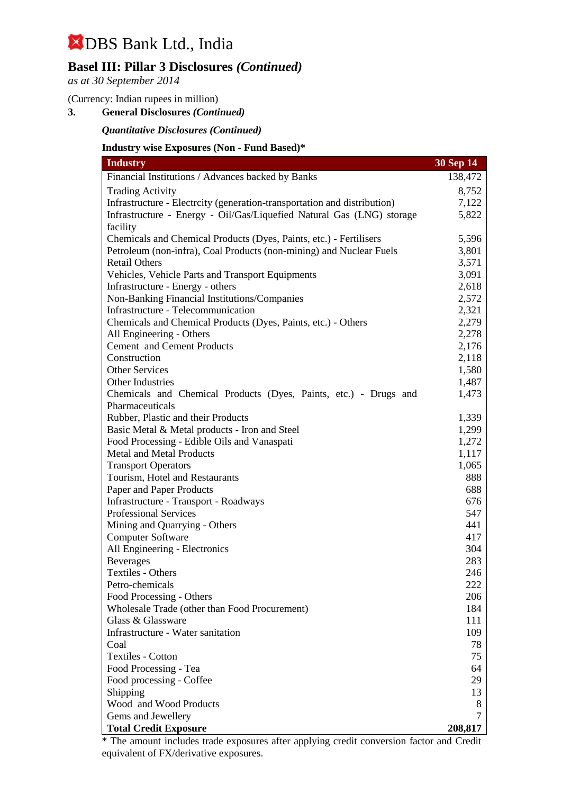### **Basel III: Pillar 3 Disclosures** *(Continued)*

*as at 30 September 2014*

#### (Currency: Indian rupees in million)

**3. General Disclosures** *(Continued)*

#### *Quantitative Disclosures (Continued)*

#### **Industry wise Exposures (Non - Fund Based)\***

| <b>Industry</b>                                                          | 30 Sep 14 |
|--------------------------------------------------------------------------|-----------|
| Financial Institutions / Advances backed by Banks                        | 138,472   |
| <b>Trading Activity</b>                                                  | 8,752     |
| Infrastructure - Electrcity (generation-transportation and distribution) | 7,122     |
| Infrastructure - Energy - Oil/Gas/Liquefied Natural Gas (LNG) storage    | 5,822     |
| facility                                                                 |           |
| Chemicals and Chemical Products (Dyes, Paints, etc.) - Fertilisers       | 5,596     |
| Petroleum (non-infra), Coal Products (non-mining) and Nuclear Fuels      | 3,801     |
| <b>Retail Others</b>                                                     | 3,571     |
| Vehicles, Vehicle Parts and Transport Equipments                         | 3,091     |
| Infrastructure - Energy - others                                         | 2,618     |
| Non-Banking Financial Institutions/Companies                             | 2,572     |
| Infrastructure - Telecommunication                                       | 2,321     |
| Chemicals and Chemical Products (Dyes, Paints, etc.) - Others            | 2,279     |
| All Engineering - Others                                                 | 2,278     |
| Cement and Cement Products                                               | 2,176     |
| Construction                                                             | 2,118     |
| <b>Other Services</b>                                                    | 1,580     |
| Other Industries                                                         | 1,487     |
| Chemicals and Chemical Products (Dyes, Paints, etc.) - Drugs and         | 1,473     |
| Pharmaceuticals                                                          |           |
| Rubber, Plastic and their Products                                       | 1,339     |
| Basic Metal & Metal products - Iron and Steel                            | 1,299     |
| Food Processing - Edible Oils and Vanaspati                              | 1,272     |
| <b>Metal and Metal Products</b>                                          | 1,117     |
| <b>Transport Operators</b>                                               | 1,065     |
| Tourism, Hotel and Restaurants                                           | 888       |
| Paper and Paper Products                                                 | 688       |
| Infrastructure - Transport - Roadways                                    | 676       |
| <b>Professional Services</b>                                             | 547       |
| Mining and Quarrying - Others                                            | 441       |
| <b>Computer Software</b>                                                 | 417       |
| All Engineering - Electronics                                            | 304       |
| <b>Beverages</b>                                                         | 283       |
| Textiles - Others                                                        | 246       |
| Petro-chemicals                                                          | 222       |
| Food Processing - Others                                                 | 206       |
| Wholesale Trade (other than Food Procurement)                            | 184       |
| Glass & Glassware                                                        | 111       |
| Infrastructure - Water sanitation                                        | 109       |
| Coal                                                                     | 78        |
| <b>Textiles - Cotton</b>                                                 | 75        |
| Food Processing - Tea                                                    | 64        |
| Food processing - Coffee                                                 | 29        |
| Shipping                                                                 | 13        |
| Wood and Wood Products                                                   | 8         |
| Gems and Jewellery                                                       | 7         |
| <b>Total Credit Exposure</b>                                             | 208,817   |

\* The amount includes trade exposures after applying credit conversion factor and Credit equivalent of FX/derivative exposures.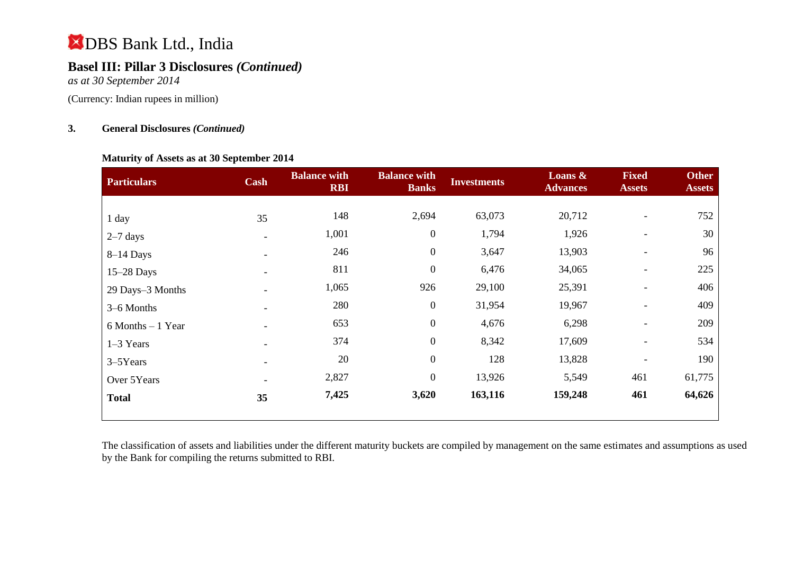## **Basel III: Pillar 3 Disclosures** *(Continued)*

*as at 30 September 2014*

(Currency: Indian rupees in million)

#### **3. General Disclosures** *(Continued)*

#### **Maturity of Assets as at 30 September 2014**

| <b>Particulars</b>   | <b>Cash</b> | <b>Balance with</b><br><b>RBI</b> | <b>Balance with</b><br><b>Banks</b> | <b>Investments</b> | Loans $\&$<br><b>Advances</b> | <b>Fixed</b><br><b>Assets</b> | <b>Other</b><br><b>Assets</b> |
|----------------------|-------------|-----------------------------------|-------------------------------------|--------------------|-------------------------------|-------------------------------|-------------------------------|
|                      |             |                                   |                                     |                    |                               |                               |                               |
| 1 day                | 35          | 148                               | 2,694                               | 63,073             | 20,712                        |                               | 752                           |
| $2-7$ days           |             | 1,001                             | $\boldsymbol{0}$                    | 1,794              | 1,926                         | $\overline{\phantom{a}}$      | 30                            |
| $8-14$ Days          |             | 246                               | $\boldsymbol{0}$                    | 3,647              | 13,903                        | $\overline{\phantom{a}}$      | 96                            |
| $15-28$ Days         |             | 811                               | $\overline{0}$                      | 6,476              | 34,065                        |                               | 225                           |
| 29 Days-3 Months     |             | 1,065                             | 926                                 | 29,100             | 25,391                        |                               | 406                           |
| 3-6 Months           |             | 280                               | $\boldsymbol{0}$                    | 31,954             | 19,967                        | $\overline{\phantom{a}}$      | 409                           |
| $6$ Months $-1$ Year |             | 653                               | $\overline{0}$                      | 4,676              | 6,298                         | $\overline{\phantom{a}}$      | 209                           |
| $1-3$ Years          |             | 374                               | $\boldsymbol{0}$                    | 8,342              | 17,609                        | $\overline{\phantom{a}}$      | 534                           |
| 3–5Years             |             | 20                                | $\boldsymbol{0}$                    | 128                | 13,828                        |                               | 190                           |
| Over 5Years          |             | 2,827                             | $\overline{0}$                      | 13,926             | 5,549                         | 461                           | 61,775                        |
| <b>Total</b>         | 35          | 7,425                             | 3,620                               | 163,116            | 159,248                       | 461                           | 64,626                        |

The classification of assets and liabilities under the different maturity buckets are compiled by management on the same estimates and assumptions as used by the Bank for compiling the returns submitted to RBI.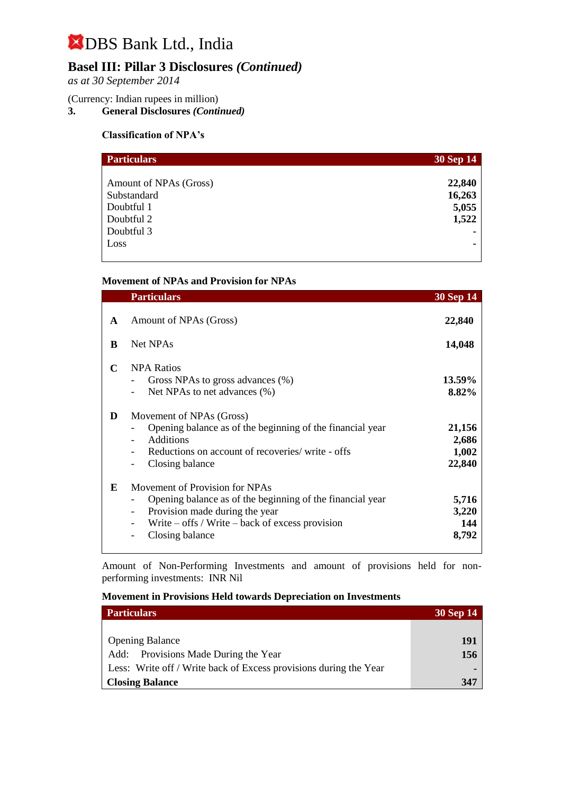### **Basel III: Pillar 3 Disclosures** *(Continued)*

*as at 30 September 2014*

#### (Currency: Indian rupees in million)

**3. General Disclosures** *(Continued)*

#### **Classification of NPA's**

| <b>Particulars</b>     | 30 Sep 14 |
|------------------------|-----------|
|                        |           |
| Amount of NPAs (Gross) | 22,840    |
| Substandard            | 16,263    |
| Doubtful 1             | 5,055     |
| Doubtful 2             | 1,522     |
| Doubtful 3             |           |
| Loss                   |           |

#### **Movement of NPAs and Provision for NPAs**

|             | <b>Particulars</b>                                                                                                                                                                                      | <b>30 Sep 14</b>                   |
|-------------|---------------------------------------------------------------------------------------------------------------------------------------------------------------------------------------------------------|------------------------------------|
| A<br>B      | Amount of NPAs (Gross)<br><b>Net NPAs</b>                                                                                                                                                               | 22,840<br>14,048                   |
| $\mathbf C$ | <b>NPA Ratios</b><br>Gross NPAs to gross advances (%)<br>Net NPAs to net advances (%)                                                                                                                   | 13.59%<br>8.82%                    |
| D           | Movement of NPAs (Gross)<br>Opening balance as of the beginning of the financial year<br>Additions<br>Reductions on account of recoveries/write - offs<br>Closing balance                               | 21,156<br>2,686<br>1,002<br>22,840 |
| E           | Movement of Provision for NPAs<br>Opening balance as of the beginning of the financial year<br>Provision made during the year<br>Write $-$ offs / Write $-$ back of excess provision<br>Closing balance | 5,716<br>3,220<br>144<br>8,792     |

Amount of Non-Performing Investments and amount of provisions held for nonperforming investments:INR Nil

**Movement in Provisions Held towards Depreciation on Investments**

| <b>Particulars</b>                                                | <b>30 Sep 14</b> |
|-------------------------------------------------------------------|------------------|
|                                                                   |                  |
| <b>Opening Balance</b>                                            | 191              |
| Add: Provisions Made During the Year                              | 156              |
| Less: Write off / Write back of Excess provisions during the Year |                  |
| <b>Closing Balance</b>                                            | 347              |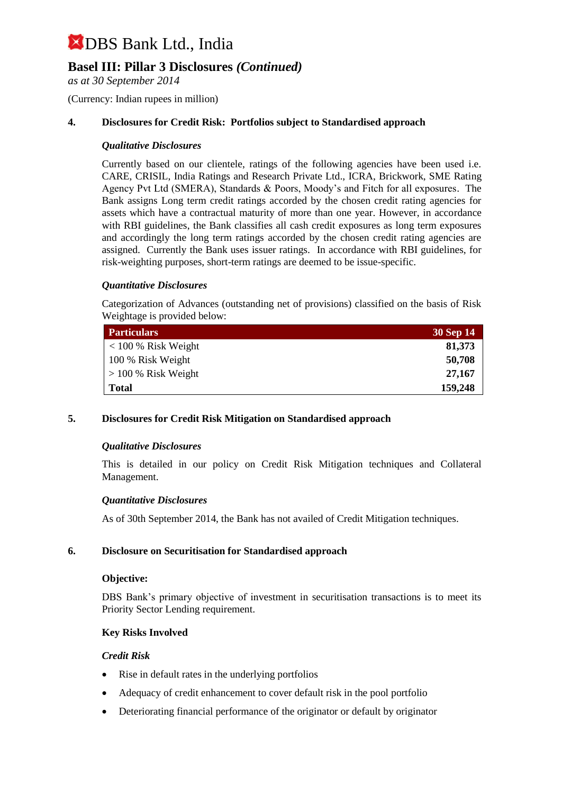### **Basel III: Pillar 3 Disclosures** *(Continued)*

*as at 30 September 2014*

(Currency: Indian rupees in million)

#### **4. Disclosures for Credit Risk: Portfolios subject to Standardised approach**

#### *Qualitative Disclosures*

Currently based on our clientele, ratings of the following agencies have been used i.e. CARE, CRISIL, India Ratings and Research Private Ltd., ICRA, Brickwork, SME Rating Agency Pvt Ltd (SMERA), Standards & Poors, Moody's and Fitch for all exposures. The Bank assigns Long term credit ratings accorded by the chosen credit rating agencies for assets which have a contractual maturity of more than one year. However, in accordance with RBI guidelines, the Bank classifies all cash credit exposures as long term exposures and accordingly the long term ratings accorded by the chosen credit rating agencies are assigned. Currently the Bank uses issuer ratings. In accordance with RBI guidelines, for risk-weighting purposes, short-term ratings are deemed to be issue-specific.

#### *Quantitative Disclosures*

Categorization of Advances (outstanding net of provisions) classified on the basis of Risk Weightage is provided below:

| <b>Particulars</b>    | 30 Sep 14 |
|-----------------------|-----------|
| $< 100 %$ Risk Weight | 81,373    |
| 100 % Risk Weight     | 50,708    |
| $> 100\%$ Risk Weight | 27,167    |
| <b>Total</b>          | 159,248   |

#### **5. Disclosures for Credit Risk Mitigation on Standardised approach**

#### *Qualitative Disclosures*

This is detailed in our policy on Credit Risk Mitigation techniques and Collateral Management.

#### *Quantitative Disclosures*

As of 30th September 2014, the Bank has not availed of Credit Mitigation techniques.

#### **6. Disclosure on Securitisation for Standardised approach**

#### **Objective:**

DBS Bank's primary objective of investment in securitisation transactions is to meet its Priority Sector Lending requirement.

#### **Key Risks Involved**

#### *Credit Risk*

- Rise in default rates in the underlying portfolios
- Adequacy of credit enhancement to cover default risk in the pool portfolio
- Deteriorating financial performance of the originator or default by originator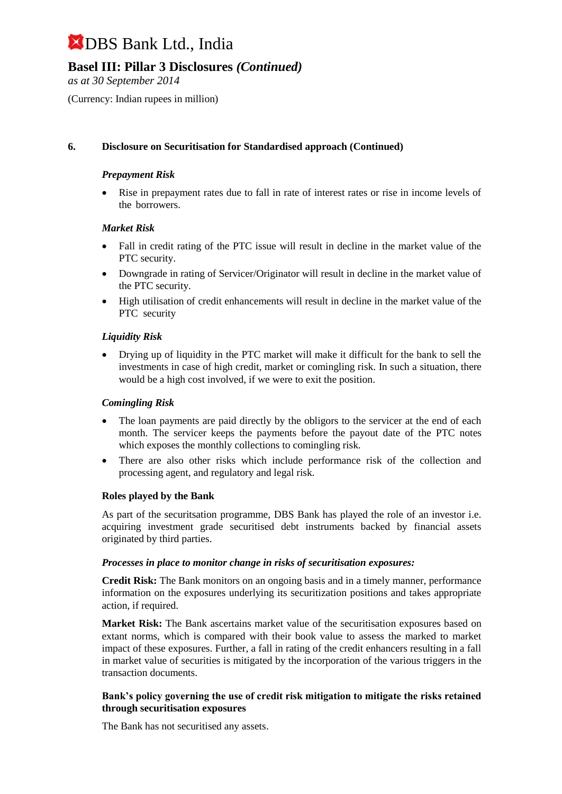### **Basel III: Pillar 3 Disclosures** *(Continued)*

*as at 30 September 2014*

(Currency: Indian rupees in million)

#### **6. Disclosure on Securitisation for Standardised approach (Continued)**

#### *Prepayment Risk*

 Rise in prepayment rates due to fall in rate of interest rates or rise in income levels of the borrowers.

#### *Market Risk*

- Fall in credit rating of the PTC issue will result in decline in the market value of the PTC security.
- Downgrade in rating of Servicer/Originator will result in decline in the market value of the PTC security.
- High utilisation of credit enhancements will result in decline in the market value of the PTC security

#### *Liquidity Risk*

 Drying up of liquidity in the PTC market will make it difficult for the bank to sell the investments in case of high credit, market or comingling risk. In such a situation, there would be a high cost involved, if we were to exit the position.

#### *Comingling Risk*

- The loan payments are paid directly by the obligors to the servicer at the end of each month. The servicer keeps the payments before the payout date of the PTC notes which exposes the monthly collections to comingling risk.
- There are also other risks which include performance risk of the collection and processing agent, and regulatory and legal risk.

#### **Roles played by the Bank**

As part of the securitsation programme, DBS Bank has played the role of an investor i.e. acquiring investment grade securitised debt instruments backed by financial assets originated by third parties.

#### *Processes in place to monitor change in risks of securitisation exposures:*

**Credit Risk:** The Bank monitors on an ongoing basis and in a timely manner, performance information on the exposures underlying its securitization positions and takes appropriate action, if required.

**Market Risk:** The Bank ascertains market value of the securitisation exposures based on extant norms, which is compared with their book value to assess the marked to market impact of these exposures. Further, a fall in rating of the credit enhancers resulting in a fall in market value of securities is mitigated by the incorporation of the various triggers in the transaction documents.

#### **Bank's policy governing the use of credit risk mitigation to mitigate the risks retained through securitisation exposures**

The Bank has not securitised any assets.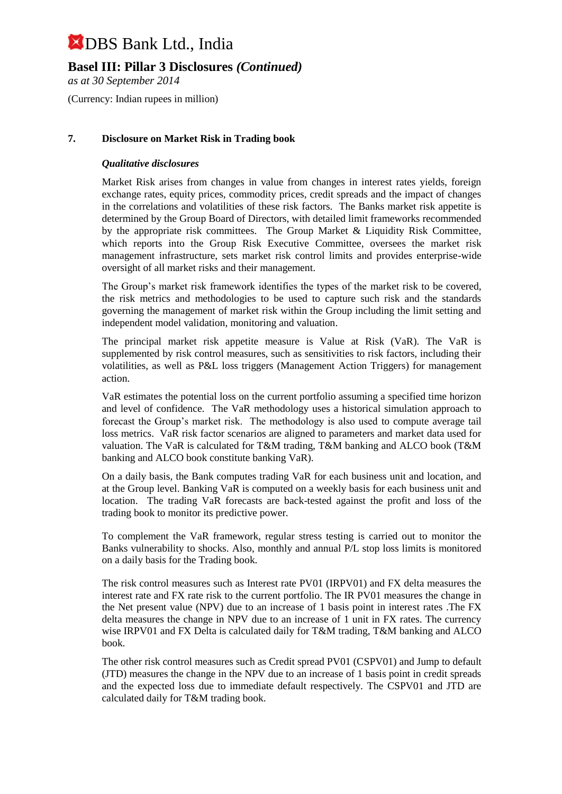**Basel III: Pillar 3 Disclosures** *(Continued)*

*as at 30 September 2014*

(Currency: Indian rupees in million)

#### **7. Disclosure on Market Risk in Trading book**

#### *Qualitative disclosures*

Market Risk arises from changes in value from changes in interest rates yields, foreign exchange rates, equity prices, commodity prices, credit spreads and the impact of changes in the correlations and volatilities of these risk factors. The Banks market risk appetite is determined by the Group Board of Directors, with detailed limit frameworks recommended by the appropriate risk committees. The Group Market & Liquidity Risk Committee, which reports into the Group Risk Executive Committee, oversees the market risk management infrastructure, sets market risk control limits and provides enterprise-wide oversight of all market risks and their management.

The Group's market risk framework identifies the types of the market risk to be covered, the risk metrics and methodologies to be used to capture such risk and the standards governing the management of market risk within the Group including the limit setting and independent model validation, monitoring and valuation.

The principal market risk appetite measure is Value at Risk (VaR). The VaR is supplemented by risk control measures, such as sensitivities to risk factors, including their volatilities, as well as P&L loss triggers (Management Action Triggers) for management action.

VaR estimates the potential loss on the current portfolio assuming a specified time horizon and level of confidence. The VaR methodology uses a historical simulation approach to forecast the Group's market risk. The methodology is also used to compute average tail loss metrics. VaR risk factor scenarios are aligned to parameters and market data used for valuation. The VaR is calculated for T&M trading, T&M banking and ALCO book (T&M banking and ALCO book constitute banking VaR).

On a daily basis, the Bank computes trading VaR for each business unit and location, and at the Group level. Banking VaR is computed on a weekly basis for each business unit and location. The trading VaR forecasts are back-tested against the profit and loss of the trading book to monitor its predictive power.

To complement the VaR framework, regular stress testing is carried out to monitor the Banks vulnerability to shocks. Also, monthly and annual P/L stop loss limits is monitored on a daily basis for the Trading book.

The risk control measures such as Interest rate PV01 (IRPV01) and FX delta measures the interest rate and FX rate risk to the current portfolio. The IR PV01 measures the change in the Net present value (NPV) due to an increase of 1 basis point in interest rates .The FX delta measures the change in NPV due to an increase of 1 unit in FX rates. The currency wise IRPV01 and FX Delta is calculated daily for T&M trading, T&M banking and ALCO book.

The other risk control measures such as Credit spread PV01 (CSPV01) and Jump to default (JTD) measures the change in the NPV due to an increase of 1 basis point in credit spreads and the expected loss due to immediate default respectively. The CSPV01 and JTD are calculated daily for T&M trading book.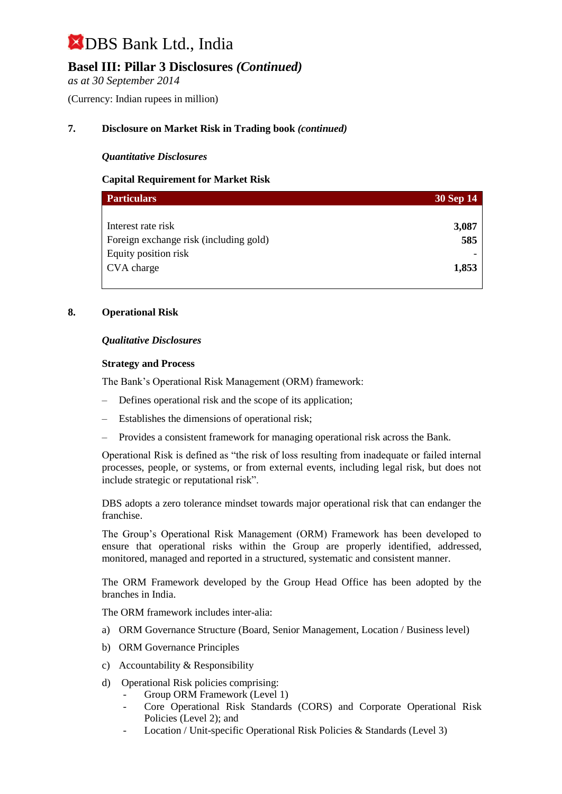### **Basel III: Pillar 3 Disclosures** *(Continued)*

*as at 30 September 2014*

(Currency: Indian rupees in million)

#### **7. Disclosure on Market Risk in Trading book** *(continued)*

#### *Quantitative Disclosures*

#### **Capital Requirement for Market Risk**

| <b>Particulars</b>                     | <b>30 Sep 14</b> |
|----------------------------------------|------------------|
|                                        |                  |
| Interest rate risk                     | 3,087            |
| Foreign exchange risk (including gold) | 585              |
| Equity position risk                   |                  |
| CVA charge                             | 1,853            |
|                                        |                  |

#### **8. Operational Risk**

#### *Qualitative Disclosures*

#### **Strategy and Process**

The Bank's Operational Risk Management (ORM) framework:

- Defines operational risk and the scope of its application;
- Establishes the dimensions of operational risk;
- Provides a consistent framework for managing operational risk across the Bank.

Operational Risk is defined as "the risk of loss resulting from inadequate or failed internal processes, people, or systems, or from external events, including legal risk, but does not include strategic or reputational risk".

DBS adopts a zero tolerance mindset towards major operational risk that can endanger the franchise.

The Group's Operational Risk Management (ORM) Framework has been developed to ensure that operational risks within the Group are properly identified, addressed, monitored, managed and reported in a structured, systematic and consistent manner.

The ORM Framework developed by the Group Head Office has been adopted by the branches in India.

The ORM framework includes inter-alia:

- a) ORM Governance Structure (Board, Senior Management, Location / Business level)
- b) ORM Governance Principles
- c) Accountability & Responsibility
- d) Operational Risk policies comprising:
	- Group ORM Framework (Level 1)
	- Core Operational Risk Standards (CORS) and Corporate Operational Risk Policies (Level 2); and
	- Location / Unit-specific Operational Risk Policies & Standards (Level 3)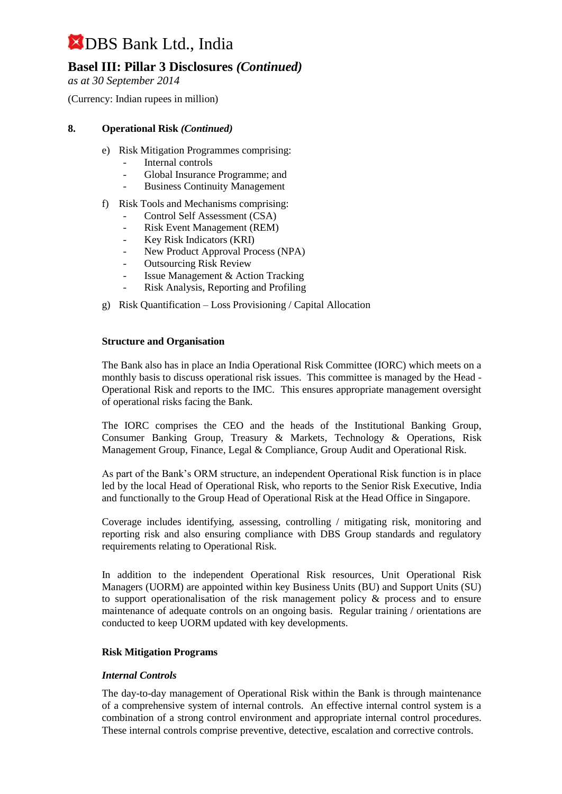### **Basel III: Pillar 3 Disclosures** *(Continued)*

*as at 30 September 2014*

(Currency: Indian rupees in million)

#### **8. Operational Risk** *(Continued)*

- e) Risk Mitigation Programmes comprising:
	- Internal controls
	- Global Insurance Programme; and
	- Business Continuity Management
- f) Risk Tools and Mechanisms comprising:
	- Control Self Assessment (CSA)
	- Risk Event Management (REM)
	- Key Risk Indicators (KRI)
	- New Product Approval Process (NPA)
	- **Outsourcing Risk Review**
	- Issue Management & Action Tracking
	- Risk Analysis, Reporting and Profiling
- g) Risk Quantification Loss Provisioning / Capital Allocation

#### **Structure and Organisation**

The Bank also has in place an India Operational Risk Committee (IORC) which meets on a monthly basis to discuss operational risk issues. This committee is managed by the Head - Operational Risk and reports to the IMC. This ensures appropriate management oversight of operational risks facing the Bank.

The IORC comprises the CEO and the heads of the Institutional Banking Group, Consumer Banking Group, Treasury & Markets, Technology & Operations, Risk Management Group, Finance, Legal & Compliance, Group Audit and Operational Risk.

As part of the Bank's ORM structure, an independent Operational Risk function is in place led by the local Head of Operational Risk, who reports to the Senior Risk Executive, India and functionally to the Group Head of Operational Risk at the Head Office in Singapore.

Coverage includes identifying, assessing, controlling / mitigating risk, monitoring and reporting risk and also ensuring compliance with DBS Group standards and regulatory requirements relating to Operational Risk.

In addition to the independent Operational Risk resources, Unit Operational Risk Managers (UORM) are appointed within key Business Units (BU) and Support Units (SU) to support operationalisation of the risk management policy  $\&$  process and to ensure maintenance of adequate controls on an ongoing basis. Regular training / orientations are conducted to keep UORM updated with key developments.

#### **Risk Mitigation Programs**

#### *Internal Controls*

The day-to-day management of Operational Risk within the Bank is through maintenance of a comprehensive system of internal controls. An effective internal control system is a combination of a strong control environment and appropriate internal control procedures. These internal controls comprise preventive, detective, escalation and corrective controls.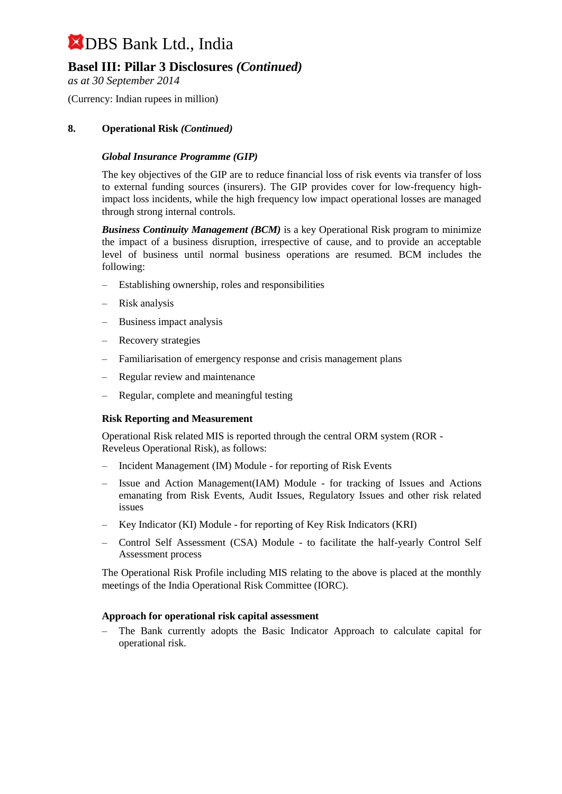### **Basel III: Pillar 3 Disclosures** *(Continued)*

*as at 30 September 2014*

(Currency: Indian rupees in million)

#### **8. Operational Risk** *(Continued)*

#### *Global Insurance Programme (GIP)*

The key objectives of the GIP are to reduce financial loss of risk events via transfer of loss to external funding sources (insurers). The GIP provides cover for low-frequency highimpact loss incidents, while the high frequency low impact operational losses are managed through strong internal controls.

*Business Continuity Management (BCM)* is a key Operational Risk program to minimize the impact of a business disruption, irrespective of cause, and to provide an acceptable level of business until normal business operations are resumed. BCM includes the following:

- Establishing ownership, roles and responsibilities
- Risk analysis
- Business impact analysis
- Recovery strategies
- Familiarisation of emergency response and crisis management plans
- Regular review and maintenance
- Regular, complete and meaningful testing

#### **Risk Reporting and Measurement**

Operational Risk related MIS is reported through the central ORM system (ROR - Reveleus Operational Risk), as follows:

- Incident Management (IM) Module for reporting of Risk Events
- Issue and Action Management(IAM) Module for tracking of Issues and Actions emanating from Risk Events, Audit Issues, Regulatory Issues and other risk related issues
- Key Indicator (KI) Module for reporting of Key Risk Indicators (KRI)
- Control Self Assessment (CSA) Module to facilitate the half-yearly Control Self Assessment process

The Operational Risk Profile including MIS relating to the above is placed at the monthly meetings of the India Operational Risk Committee (IORC).

#### **Approach for operational risk capital assessment**

– The Bank currently adopts the Basic Indicator Approach to calculate capital for operational risk.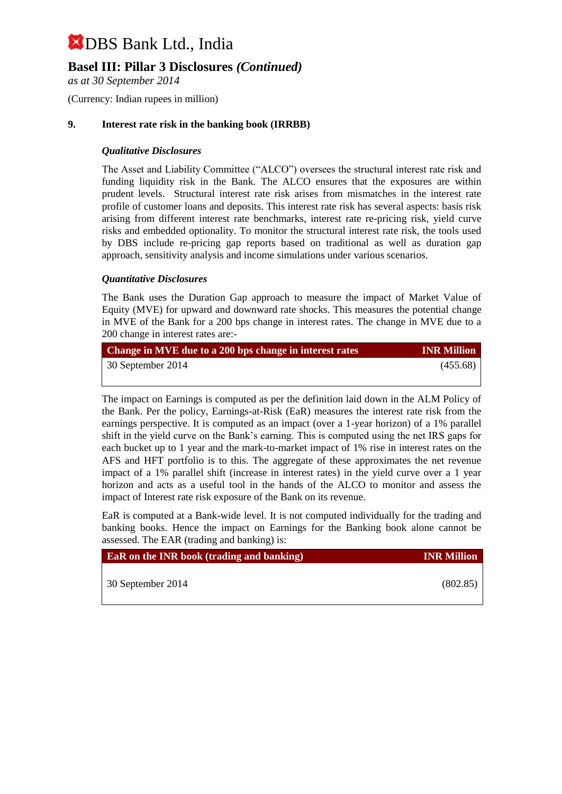### **Basel III: Pillar 3 Disclosures** *(Continued)*

*as at 30 September 2014*

(Currency: Indian rupees in million)

#### **9. Interest rate risk in the banking book (IRRBB)**

#### *Qualitative Disclosures*

The Asset and Liability Committee ("ALCO") oversees the structural interest rate risk and funding liquidity risk in the Bank. The ALCO ensures that the exposures are within prudent levels. Structural interest rate risk arises from mismatches in the interest rate profile of customer loans and deposits. This interest rate risk has several aspects: basis risk arising from different interest rate benchmarks, interest rate re-pricing risk, yield curve risks and embedded optionality. To monitor the structural interest rate risk, the tools used by DBS include re-pricing gap reports based on traditional as well as duration gap approach, sensitivity analysis and income simulations under various scenarios.

#### *Quantitative Disclosures*

The Bank uses the Duration Gap approach to measure the impact of Market Value of Equity (MVE) for upward and downward rate shocks. This measures the potential change in MVE of the Bank for a 200 bps change in interest rates. The change in MVE due to a 200 change in interest rates are:-

| Change in MVE due to a 200 bps change in interest rates | <b>INR Million</b> |
|---------------------------------------------------------|--------------------|
| 30 September 2014                                       | (455.68)           |

The impact on Earnings is computed as per the definition laid down in the ALM Policy of the Bank. Per the policy, Earnings-at-Risk (EaR) measures the interest rate risk from the earnings perspective. It is computed as an impact (over a 1-year horizon) of a 1% parallel shift in the yield curve on the Bank's earning. This is computed using the net IRS gaps for each bucket up to 1 year and the mark-to-market impact of 1% rise in interest rates on the AFS and HFT portfolio is to this. The aggregate of these approximates the net revenue impact of a 1% parallel shift (increase in interest rates) in the yield curve over a 1 year horizon and acts as a useful tool in the hands of the ALCO to monitor and assess the impact of Interest rate risk exposure of the Bank on its revenue.

EaR is computed at a Bank-wide level. It is not computed individually for the trading and banking books. Hence the impact on Earnings for the Banking book alone cannot be assessed. The EAR (trading and banking) is:

| <b>EaR</b> on the INR book (trading and banking) | <b>INR Million</b> |
|--------------------------------------------------|--------------------|
| 30 September 2014                                | (802.85)           |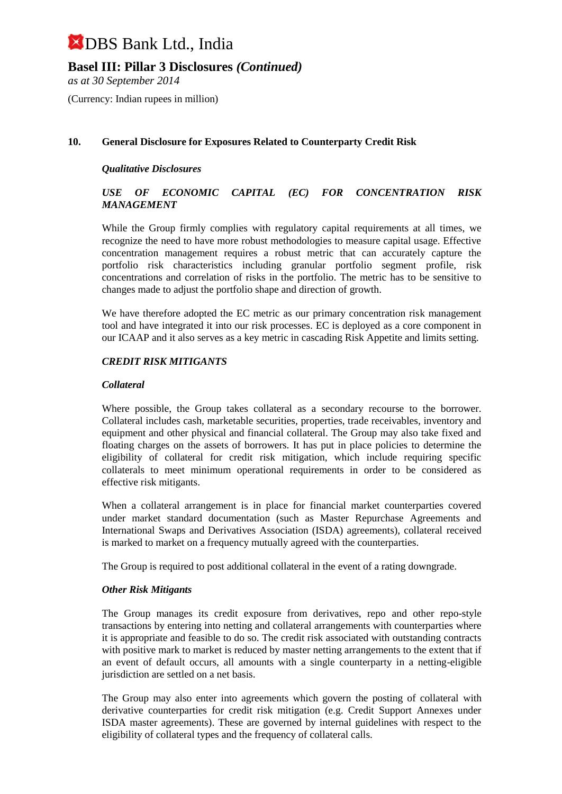#### **Basel III: Pillar 3 Disclosures** *(Continued)*

*as at 30 September 2014*

(Currency: Indian rupees in million)

#### **10. General Disclosure for Exposures Related to Counterparty Credit Risk**

#### *Qualitative Disclosures*

#### *USE OF ECONOMIC CAPITAL (EC) FOR CONCENTRATION RISK MANAGEMENT*

While the Group firmly complies with regulatory capital requirements at all times, we recognize the need to have more robust methodologies to measure capital usage. Effective concentration management requires a robust metric that can accurately capture the portfolio risk characteristics including granular portfolio segment profile, risk concentrations and correlation of risks in the portfolio. The metric has to be sensitive to changes made to adjust the portfolio shape and direction of growth.

We have therefore adopted the EC metric as our primary concentration risk management tool and have integrated it into our risk processes. EC is deployed as a core component in our ICAAP and it also serves as a key metric in cascading Risk Appetite and limits setting.

#### *CREDIT RISK MITIGANTS*

#### *Collateral*

Where possible, the Group takes collateral as a secondary recourse to the borrower. Collateral includes cash, marketable securities, properties, trade receivables, inventory and equipment and other physical and financial collateral. The Group may also take fixed and floating charges on the assets of borrowers. It has put in place policies to determine the eligibility of collateral for credit risk mitigation, which include requiring specific collaterals to meet minimum operational requirements in order to be considered as effective risk mitigants.

When a collateral arrangement is in place for financial market counterparties covered under market standard documentation (such as Master Repurchase Agreements and International Swaps and Derivatives Association (ISDA) agreements), collateral received is marked to market on a frequency mutually agreed with the counterparties.

The Group is required to post additional collateral in the event of a rating downgrade.

#### *Other Risk Mitigants*

The Group manages its credit exposure from derivatives, repo and other repo-style transactions by entering into netting and collateral arrangements with counterparties where it is appropriate and feasible to do so. The credit risk associated with outstanding contracts with positive mark to market is reduced by master netting arrangements to the extent that if an event of default occurs, all amounts with a single counterparty in a netting-eligible jurisdiction are settled on a net basis.

The Group may also enter into agreements which govern the posting of collateral with derivative counterparties for credit risk mitigation (e.g. Credit Support Annexes under ISDA master agreements). These are governed by internal guidelines with respect to the eligibility of collateral types and the frequency of collateral calls.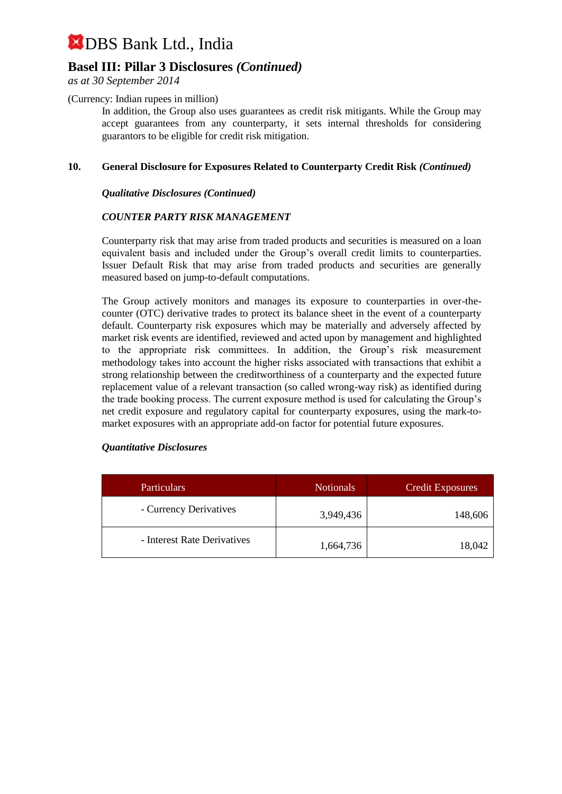### **Basel III: Pillar 3 Disclosures** *(Continued)*

*as at 30 September 2014*

(Currency: Indian rupees in million)

In addition, the Group also uses guarantees as credit risk mitigants. While the Group may accept guarantees from any counterparty, it sets internal thresholds for considering guarantors to be eligible for credit risk mitigation.

#### **10. General Disclosure for Exposures Related to Counterparty Credit Risk** *(Continued)*

#### *Qualitative Disclosures (Continued)*

#### *COUNTER PARTY RISK MANAGEMENT*

Counterparty risk that may arise from traded products and securities is measured on a loan equivalent basis and included under the Group's overall credit limits to counterparties. Issuer Default Risk that may arise from traded products and securities are generally measured based on jump-to-default computations.

The Group actively monitors and manages its exposure to counterparties in over-thecounter (OTC) derivative trades to protect its balance sheet in the event of a counterparty default. Counterparty risk exposures which may be materially and adversely affected by market risk events are identified, reviewed and acted upon by management and highlighted to the appropriate risk committees. In addition, the Group's risk measurement methodology takes into account the higher risks associated with transactions that exhibit a strong relationship between the creditworthiness of a counterparty and the expected future replacement value of a relevant transaction (so called wrong-way risk) as identified during the trade booking process. The current exposure method is used for calculating the Group's net credit exposure and regulatory capital for counterparty exposures, using the mark-tomarket exposures with an appropriate add-on factor for potential future exposures.

#### *Quantitative Disclosures*

| <b>Particulars</b>          | <b>Notionals</b> | <b>Credit Exposures</b> |
|-----------------------------|------------------|-------------------------|
| - Currency Derivatives      | 3,949,436        | 148,606                 |
| - Interest Rate Derivatives | 1,664,736        | 18,042                  |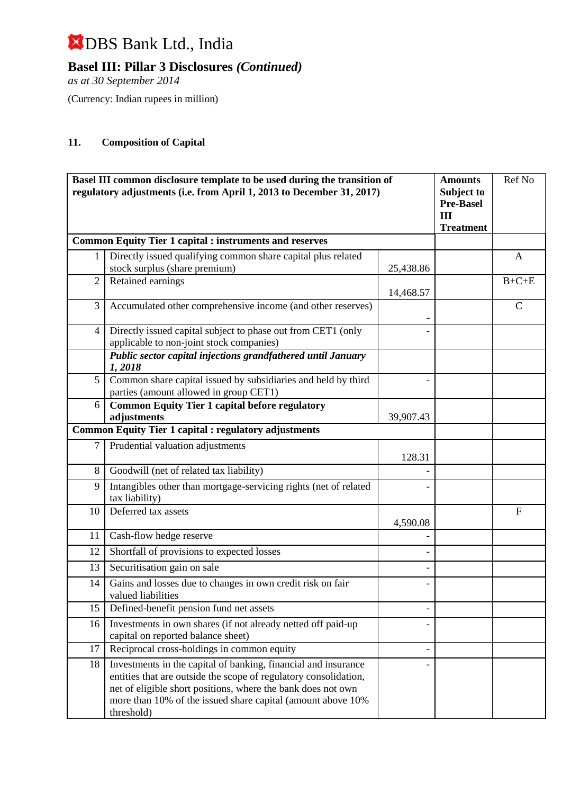**Basel III: Pillar 3 Disclosures** *(Continued)*

*as at 30 September 2014*

(Currency: Indian rupees in million)

### **11. Composition of Capital**

| Basel III common disclosure template to be used during the transition of<br>regulatory adjustments (i.e. from April 1, 2013 to December 31, 2017) |                                                                                                                                                                                                                                                                                 | <b>Amounts</b><br>Subject to<br><b>Pre-Basel</b><br>III<br><b>Treatment</b> | Ref No |              |
|---------------------------------------------------------------------------------------------------------------------------------------------------|---------------------------------------------------------------------------------------------------------------------------------------------------------------------------------------------------------------------------------------------------------------------------------|-----------------------------------------------------------------------------|--------|--------------|
|                                                                                                                                                   | <b>Common Equity Tier 1 capital : instruments and reserves</b>                                                                                                                                                                                                                  |                                                                             |        |              |
|                                                                                                                                                   | Directly issued qualifying common share capital plus related<br>stock surplus (share premium)                                                                                                                                                                                   | 25,438.86                                                                   |        | $\mathbf{A}$ |
| $\overline{2}$                                                                                                                                    | Retained earnings                                                                                                                                                                                                                                                               | 14,468.57                                                                   |        | $B+C+E$      |
| 3                                                                                                                                                 | Accumulated other comprehensive income (and other reserves)                                                                                                                                                                                                                     |                                                                             |        | $\mathbf C$  |
| 4                                                                                                                                                 | Directly issued capital subject to phase out from CET1 (only<br>applicable to non-joint stock companies)                                                                                                                                                                        |                                                                             |        |              |
|                                                                                                                                                   | Public sector capital injections grandfathered until January<br>1,2018                                                                                                                                                                                                          |                                                                             |        |              |
| 5                                                                                                                                                 | Common share capital issued by subsidiaries and held by third<br>parties (amount allowed in group CET1)                                                                                                                                                                         |                                                                             |        |              |
| 6                                                                                                                                                 | <b>Common Equity Tier 1 capital before regulatory</b><br>adjustments                                                                                                                                                                                                            | 39,907.43                                                                   |        |              |
|                                                                                                                                                   | <b>Common Equity Tier 1 capital : regulatory adjustments</b>                                                                                                                                                                                                                    |                                                                             |        |              |
| 7                                                                                                                                                 | Prudential valuation adjustments                                                                                                                                                                                                                                                | 128.31                                                                      |        |              |
| 8                                                                                                                                                 | Goodwill (net of related tax liability)                                                                                                                                                                                                                                         |                                                                             |        |              |
| 9                                                                                                                                                 | Intangibles other than mortgage-servicing rights (net of related<br>tax liability)                                                                                                                                                                                              |                                                                             |        |              |
| 10                                                                                                                                                | Deferred tax assets                                                                                                                                                                                                                                                             | 4,590.08                                                                    |        | $\mathbf{F}$ |
| 11                                                                                                                                                | Cash-flow hedge reserve                                                                                                                                                                                                                                                         |                                                                             |        |              |
| 12                                                                                                                                                | Shortfall of provisions to expected losses                                                                                                                                                                                                                                      |                                                                             |        |              |
| 13                                                                                                                                                | Securitisation gain on sale                                                                                                                                                                                                                                                     |                                                                             |        |              |
| 14                                                                                                                                                | Gains and losses due to changes in own credit risk on fair<br>valued liabilities                                                                                                                                                                                                |                                                                             |        |              |
| 15                                                                                                                                                | Defined-benefit pension fund net assets                                                                                                                                                                                                                                         |                                                                             |        |              |
| 16                                                                                                                                                | Investments in own shares (if not already netted off paid-up<br>capital on reported balance sheet)                                                                                                                                                                              |                                                                             |        |              |
| 17                                                                                                                                                | Reciprocal cross-holdings in common equity                                                                                                                                                                                                                                      | $\overline{\phantom{0}}$                                                    |        |              |
| 18                                                                                                                                                | Investments in the capital of banking, financial and insurance<br>entities that are outside the scope of regulatory consolidation,<br>net of eligible short positions, where the bank does not own<br>more than 10% of the issued share capital (amount above 10%<br>threshold) |                                                                             |        |              |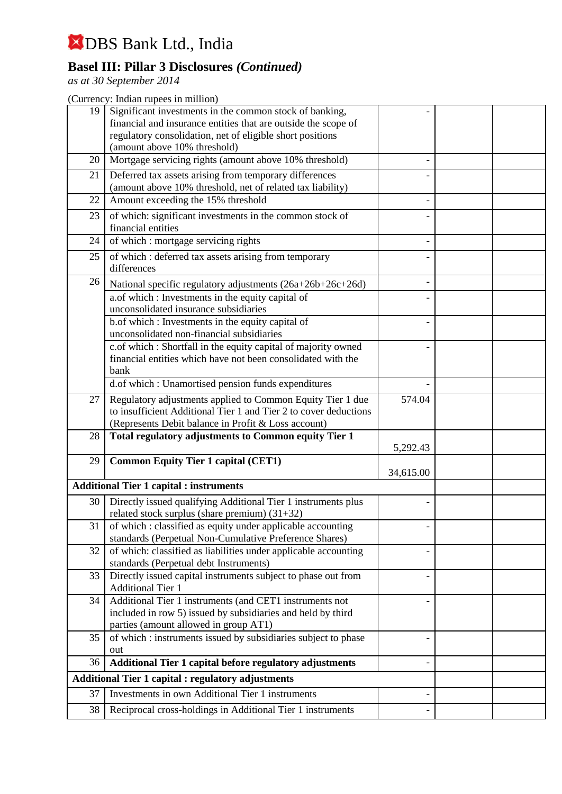## **Basel III: Pillar 3 Disclosures** *(Continued)*

*as at 30 September 2014*

| 19 | Significant investments in the common stock of banking,<br>financial and insurance entities that are outside the scope of                                                             |                          |  |
|----|---------------------------------------------------------------------------------------------------------------------------------------------------------------------------------------|--------------------------|--|
|    | regulatory consolidation, net of eligible short positions<br>(amount above 10% threshold)                                                                                             |                          |  |
| 20 | Mortgage servicing rights (amount above 10% threshold)                                                                                                                                |                          |  |
| 21 | Deferred tax assets arising from temporary differences<br>(amount above 10% threshold, net of related tax liability)                                                                  |                          |  |
| 22 | Amount exceeding the 15% threshold                                                                                                                                                    |                          |  |
| 23 | of which: significant investments in the common stock of<br>financial entities                                                                                                        |                          |  |
| 24 | of which : mortgage servicing rights                                                                                                                                                  |                          |  |
| 25 | of which : deferred tax assets arising from temporary<br>differences                                                                                                                  |                          |  |
| 26 | National specific regulatory adjustments (26a+26b+26c+26d)                                                                                                                            |                          |  |
|    | a.of which : Investments in the equity capital of<br>unconsolidated insurance subsidiaries                                                                                            |                          |  |
|    | b.of which : Investments in the equity capital of<br>unconsolidated non-financial subsidiaries                                                                                        |                          |  |
|    | c.of which : Shortfall in the equity capital of majority owned<br>financial entities which have not been consolidated with the<br>bank                                                |                          |  |
|    | d.of which : Unamortised pension funds expenditures                                                                                                                                   |                          |  |
| 27 | Regulatory adjustments applied to Common Equity Tier 1 due<br>to insufficient Additional Tier 1 and Tier 2 to cover deductions<br>(Represents Debit balance in Profit & Loss account) | 574.04                   |  |
| 28 | Total regulatory adjustments to Common equity Tier 1                                                                                                                                  | 5,292.43                 |  |
| 29 | <b>Common Equity Tier 1 capital (CET1)</b>                                                                                                                                            | 34,615.00                |  |
|    | <b>Additional Tier 1 capital : instruments</b>                                                                                                                                        |                          |  |
| 30 | Directly issued qualifying Additional Tier 1 instruments plus<br>related stock surplus (share premium) (31+32)                                                                        |                          |  |
| 31 | of which : classified as equity under applicable accounting<br>standards (Perpetual Non-Cumulative Preference Shares)                                                                 |                          |  |
| 32 | of which: classified as liabilities under applicable accounting<br>standards (Perpetual debt Instruments)                                                                             |                          |  |
| 33 | Directly issued capital instruments subject to phase out from<br><b>Additional Tier 1</b>                                                                                             |                          |  |
| 34 | Additional Tier 1 instruments (and CET1 instruments not<br>included in row 5) issued by subsidiaries and held by third<br>parties (amount allowed in group AT1)                       |                          |  |
| 35 | of which : instruments issued by subsidiaries subject to phase<br>out                                                                                                                 |                          |  |
| 36 | Additional Tier 1 capital before regulatory adjustments                                                                                                                               |                          |  |
|    | <b>Additional Tier 1 capital : regulatory adjustments</b>                                                                                                                             |                          |  |
| 37 | Investments in own Additional Tier 1 instruments                                                                                                                                      | $\overline{\phantom{0}}$ |  |
| 38 | Reciprocal cross-holdings in Additional Tier 1 instruments                                                                                                                            |                          |  |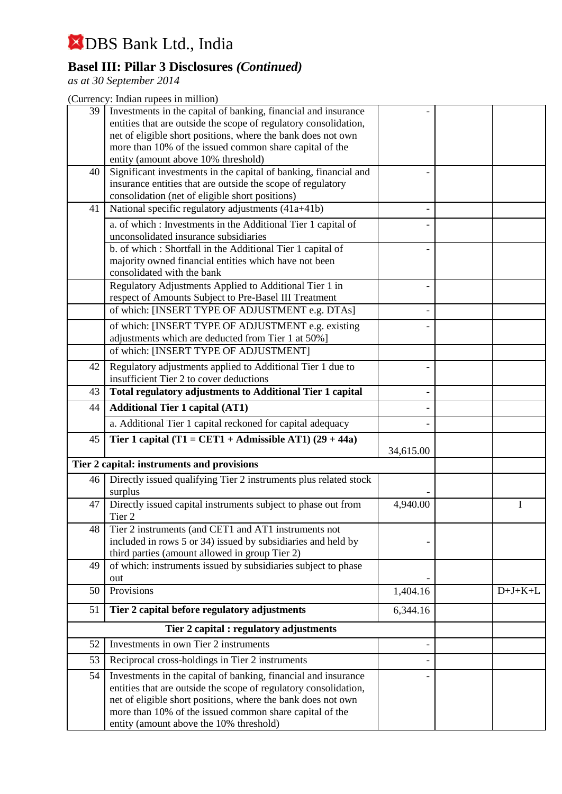## **Basel III: Pillar 3 Disclosures** *(Continued)*

*as at 30 September 2014*

| 39 | Investments in the capital of banking, financial and insurance<br>entities that are outside the scope of regulatory consolidation,<br>net of eligible short positions, where the bank does not own<br>more than 10% of the issued common share capital of the<br>entity (amount above 10% threshold)     |                   |           |
|----|----------------------------------------------------------------------------------------------------------------------------------------------------------------------------------------------------------------------------------------------------------------------------------------------------------|-------------------|-----------|
| 40 | Significant investments in the capital of banking, financial and<br>insurance entities that are outside the scope of regulatory<br>consolidation (net of eligible short positions)                                                                                                                       |                   |           |
| 41 | National specific regulatory adjustments (41a+41b)                                                                                                                                                                                                                                                       |                   |           |
|    | a. of which : Investments in the Additional Tier 1 capital of<br>unconsolidated insurance subsidiaries                                                                                                                                                                                                   |                   |           |
|    | b. of which: Shortfall in the Additional Tier 1 capital of<br>majority owned financial entities which have not been<br>consolidated with the bank                                                                                                                                                        |                   |           |
|    | Regulatory Adjustments Applied to Additional Tier 1 in<br>respect of Amounts Subject to Pre-Basel III Treatment                                                                                                                                                                                          |                   |           |
|    | of which: [INSERT TYPE OF ADJUSTMENT e.g. DTAs]                                                                                                                                                                                                                                                          |                   |           |
|    | of which: [INSERT TYPE OF ADJUSTMENT e.g. existing<br>adjustments which are deducted from Tier 1 at 50%]                                                                                                                                                                                                 |                   |           |
|    | of which: [INSERT TYPE OF ADJUSTMENT]                                                                                                                                                                                                                                                                    |                   |           |
| 42 | Regulatory adjustments applied to Additional Tier 1 due to<br>insufficient Tier 2 to cover deductions                                                                                                                                                                                                    |                   |           |
| 43 | Total regulatory adjustments to Additional Tier 1 capital                                                                                                                                                                                                                                                |                   |           |
| 44 | <b>Additional Tier 1 capital (AT1)</b>                                                                                                                                                                                                                                                                   |                   |           |
|    | a. Additional Tier 1 capital reckoned for capital adequacy                                                                                                                                                                                                                                               |                   |           |
| 45 | Tier 1 capital (T1 = CET1 + Admissible AT1) $(29 + 44a)$                                                                                                                                                                                                                                                 | 34,615.00         |           |
|    | Tier 2 capital: instruments and provisions                                                                                                                                                                                                                                                               |                   |           |
| 46 | Directly issued qualifying Tier 2 instruments plus related stock<br>surplus                                                                                                                                                                                                                              |                   |           |
| 47 | Directly issued capital instruments subject to phase out from<br>Tier <sub>2</sub>                                                                                                                                                                                                                       | 4,940.00          | I         |
| 48 | Tier 2 instruments (and CET1 and AT1 instruments not<br>included in rows 5 or 34) issued by subsidiaries and held by<br>third parties (amount allowed in group Tier 2)                                                                                                                                   |                   |           |
| 49 | of which: instruments issued by subsidiaries subject to phase<br>out                                                                                                                                                                                                                                     |                   |           |
| 50 | Provisions                                                                                                                                                                                                                                                                                               | 1,404.16          | $D+J+K+L$ |
| 51 | Tier 2 capital before regulatory adjustments                                                                                                                                                                                                                                                             | 6,344.16          |           |
|    | Tier 2 capital : regulatory adjustments                                                                                                                                                                                                                                                                  |                   |           |
| 52 | Investments in own Tier 2 instruments                                                                                                                                                                                                                                                                    | $\qquad \qquad -$ |           |
| 53 | Reciprocal cross-holdings in Tier 2 instruments                                                                                                                                                                                                                                                          |                   |           |
| 54 | Investments in the capital of banking, financial and insurance<br>entities that are outside the scope of regulatory consolidation,<br>net of eligible short positions, where the bank does not own<br>more than 10% of the issued common share capital of the<br>entity (amount above the 10% threshold) |                   |           |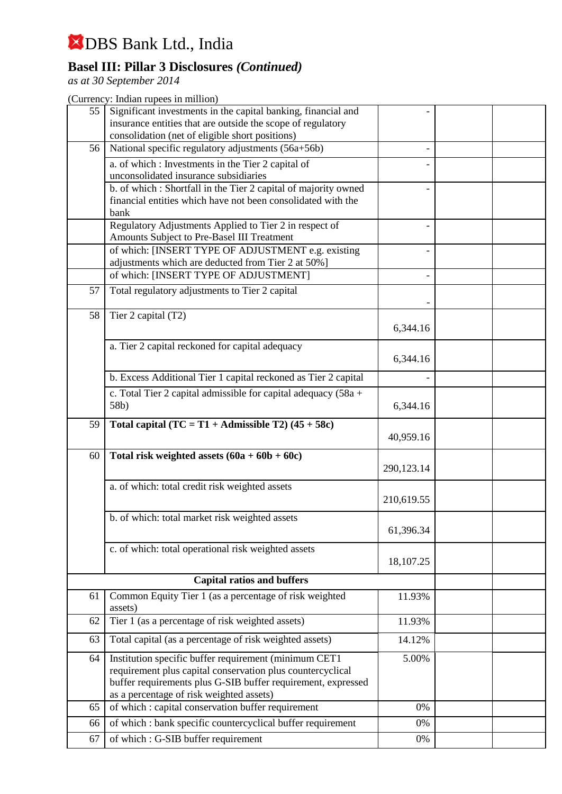## **Basel III: Pillar 3 Disclosures** *(Continued)*

*as at 30 September 2014*

| 55       | Significant investments in the capital banking, financial and                                        |             |  |
|----------|------------------------------------------------------------------------------------------------------|-------------|--|
|          | insurance entities that are outside the scope of regulatory                                          |             |  |
|          | consolidation (net of eligible short positions)                                                      |             |  |
| 56       | National specific regulatory adjustments (56a+56b)                                                   |             |  |
|          | a. of which: Investments in the Tier 2 capital of<br>unconsolidated insurance subsidiaries           |             |  |
|          | b. of which: Shortfall in the Tier 2 capital of majority owned                                       |             |  |
|          | financial entities which have not been consolidated with the                                         |             |  |
|          | bank                                                                                                 |             |  |
|          | Regulatory Adjustments Applied to Tier 2 in respect of<br>Amounts Subject to Pre-Basel III Treatment |             |  |
|          | of which: [INSERT TYPE OF ADJUSTMENT e.g. existing                                                   |             |  |
|          | adjustments which are deducted from Tier 2 at 50%]                                                   |             |  |
|          | of which: [INSERT TYPE OF ADJUSTMENT]                                                                |             |  |
| 57       | Total regulatory adjustments to Tier 2 capital                                                       |             |  |
| 58       | Tier 2 capital (T2)                                                                                  |             |  |
|          |                                                                                                      | 6,344.16    |  |
|          | a. Tier 2 capital reckoned for capital adequacy                                                      |             |  |
|          |                                                                                                      | 6,344.16    |  |
|          |                                                                                                      |             |  |
|          | b. Excess Additional Tier 1 capital reckoned as Tier 2 capital                                       |             |  |
|          | c. Total Tier 2 capital admissible for capital adequacy $(58a +$                                     |             |  |
|          | 58b)                                                                                                 | 6,344.16    |  |
| 59       | Total capital $(TC = T1 + \text{Admissible } T2)$ (45 + 58c)                                         |             |  |
|          |                                                                                                      | 40,959.16   |  |
| 60       | Total risk weighted assets $(60a + 60b + 60c)$                                                       |             |  |
|          |                                                                                                      | 290,123.14  |  |
|          | a. of which: total credit risk weighted assets                                                       |             |  |
|          |                                                                                                      | 210,619.55  |  |
|          | b. of which: total market risk weighted assets                                                       |             |  |
|          |                                                                                                      | 61,396.34   |  |
|          | c. of which: total operational risk weighted assets                                                  |             |  |
|          |                                                                                                      | 18,107.25   |  |
|          |                                                                                                      |             |  |
|          | <b>Capital ratios and buffers</b>                                                                    |             |  |
| 61       | Common Equity Tier 1 (as a percentage of risk weighted<br>assets)                                    | 11.93%      |  |
| 62       | Tier 1 (as a percentage of risk weighted assets)                                                     | 11.93%      |  |
| 63       | Total capital (as a percentage of risk weighted assets)                                              | 14.12%      |  |
| 64       | Institution specific buffer requirement (minimum CET1                                                | 5.00%       |  |
|          | requirement plus capital conservation plus countercyclical                                           |             |  |
|          |                                                                                                      |             |  |
|          | buffer requirements plus G-SIB buffer requirement, expressed                                         |             |  |
|          | as a percentage of risk weighted assets)                                                             |             |  |
| 65       | of which : capital conservation buffer requirement                                                   | 0%          |  |
| 66<br>67 | of which : bank specific countercyclical buffer requirement<br>of which: G-SIB buffer requirement    | 0%<br>$0\%$ |  |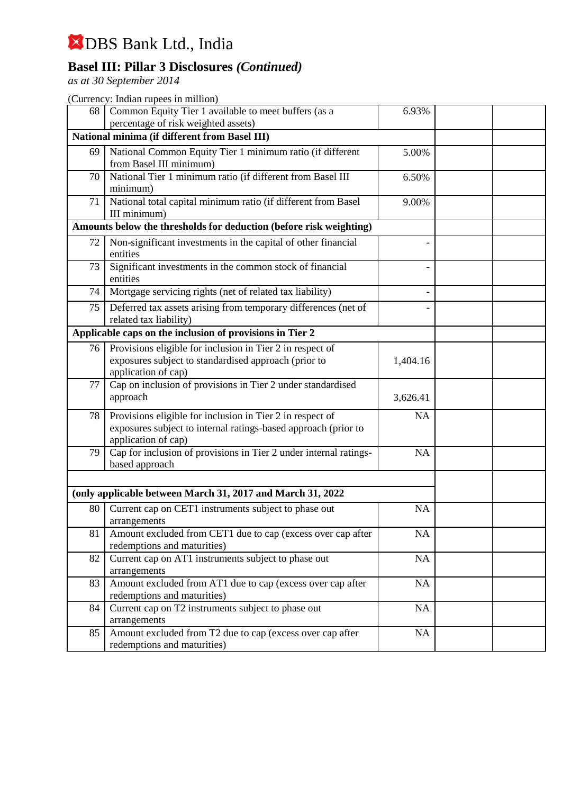## **Basel III: Pillar 3 Disclosures** *(Continued)*

*as at 30 September 2014*

| 68 | Common Equity Tier 1 available to meet buffers (as a                                                                                               | 6.93%     |  |
|----|----------------------------------------------------------------------------------------------------------------------------------------------------|-----------|--|
|    | percentage of risk weighted assets)                                                                                                                |           |  |
|    | National minima (if different from Basel III)                                                                                                      |           |  |
| 69 | National Common Equity Tier 1 minimum ratio (if different<br>from Basel III minimum)                                                               | 5.00%     |  |
| 70 | National Tier 1 minimum ratio (if different from Basel III                                                                                         | 6.50%     |  |
|    | minimum)                                                                                                                                           |           |  |
| 71 | National total capital minimum ratio (if different from Basel<br>III minimum)                                                                      | 9.00%     |  |
|    | Amounts below the thresholds for deduction (before risk weighting)                                                                                 |           |  |
| 72 | Non-significant investments in the capital of other financial<br>entities                                                                          |           |  |
| 73 | Significant investments in the common stock of financial<br>entities                                                                               |           |  |
| 74 | Mortgage servicing rights (net of related tax liability)                                                                                           |           |  |
| 75 | Deferred tax assets arising from temporary differences (net of<br>related tax liability)                                                           |           |  |
|    | Applicable caps on the inclusion of provisions in Tier 2                                                                                           |           |  |
| 76 | Provisions eligible for inclusion in Tier 2 in respect of<br>exposures subject to standardised approach (prior to<br>application of cap)           | 1,404.16  |  |
| 77 | Cap on inclusion of provisions in Tier 2 under standardised<br>approach                                                                            | 3,626.41  |  |
| 78 | Provisions eligible for inclusion in Tier 2 in respect of<br>exposures subject to internal ratings-based approach (prior to<br>application of cap) | <b>NA</b> |  |
| 79 | Cap for inclusion of provisions in Tier 2 under internal ratings-<br>based approach                                                                | <b>NA</b> |  |
|    |                                                                                                                                                    |           |  |
|    | (only applicable between March 31, 2017 and March 31, 2022                                                                                         |           |  |
| 80 | Current cap on CET1 instruments subject to phase out<br>arrangements                                                                               | <b>NA</b> |  |
| 81 | Amount excluded from CET1 due to cap (excess over cap after<br>redemptions and maturities)                                                         | <b>NA</b> |  |
| 82 | Current cap on AT1 instruments subject to phase out<br>arrangements                                                                                | NA        |  |
| 83 | Amount excluded from AT1 due to cap (excess over cap after<br>redemptions and maturities)                                                          | NA        |  |
| 84 | Current cap on T2 instruments subject to phase out<br>arrangements                                                                                 | <b>NA</b> |  |
| 85 | Amount excluded from T2 due to cap (excess over cap after<br>redemptions and maturities)                                                           | NA        |  |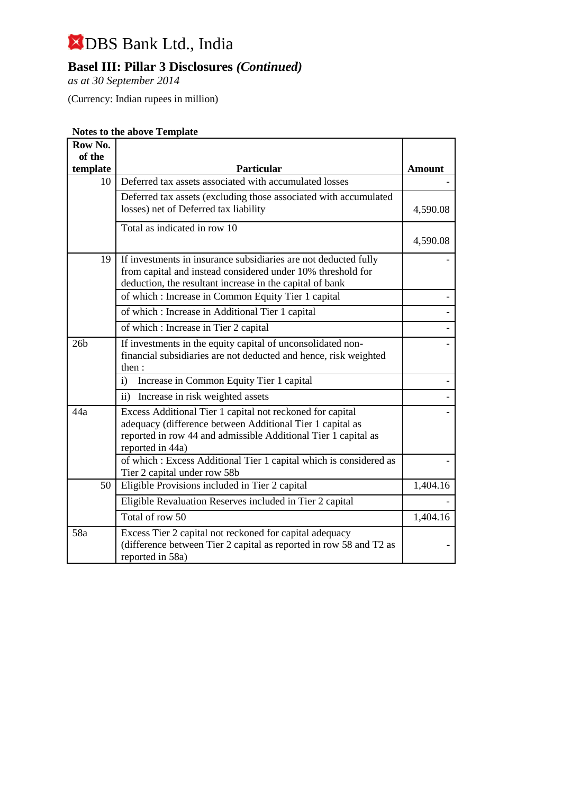## **Basel III: Pillar 3 Disclosures** *(Continued)*

*as at 30 September 2014*

(Currency: Indian rupees in million)

#### **Notes to the above Template**

| Row No.         |                                                                                                                                                                                                              |               |
|-----------------|--------------------------------------------------------------------------------------------------------------------------------------------------------------------------------------------------------------|---------------|
| of the          |                                                                                                                                                                                                              |               |
| template        | <b>Particular</b>                                                                                                                                                                                            | <b>Amount</b> |
| 10              | Deferred tax assets associated with accumulated losses                                                                                                                                                       |               |
|                 | Deferred tax assets (excluding those associated with accumulated<br>losses) net of Deferred tax liability                                                                                                    | 4,590.08      |
|                 | Total as indicated in row 10                                                                                                                                                                                 | 4,590.08      |
| 19              | If investments in insurance subsidiaries are not deducted fully<br>from capital and instead considered under 10% threshold for<br>deduction, the resultant increase in the capital of bank                   |               |
|                 | of which : Increase in Common Equity Tier 1 capital                                                                                                                                                          |               |
|                 | of which : Increase in Additional Tier 1 capital                                                                                                                                                             |               |
|                 | of which : Increase in Tier 2 capital                                                                                                                                                                        |               |
| 26 <sub>b</sub> | If investments in the equity capital of unconsolidated non-<br>financial subsidiaries are not deducted and hence, risk weighted<br>then:                                                                     |               |
|                 | Increase in Common Equity Tier 1 capital<br>$\mathbf{i}$                                                                                                                                                     |               |
|                 | $\mathbf{ii}$<br>Increase in risk weighted assets                                                                                                                                                            |               |
| 44a             | Excess Additional Tier 1 capital not reckoned for capital<br>adequacy (difference between Additional Tier 1 capital as<br>reported in row 44 and admissible Additional Tier 1 capital as<br>reported in 44a) |               |
|                 | of which: Excess Additional Tier 1 capital which is considered as<br>Tier 2 capital under row 58b                                                                                                            |               |
| 50              | Eligible Provisions included in Tier 2 capital                                                                                                                                                               | 1,404.16      |
|                 | Eligible Revaluation Reserves included in Tier 2 capital                                                                                                                                                     |               |
|                 | Total of row 50                                                                                                                                                                                              | 1,404.16      |
| 58a             | Excess Tier 2 capital not reckoned for capital adequacy<br>(difference between Tier 2 capital as reported in row 58 and T2 as<br>reported in 58a)                                                            |               |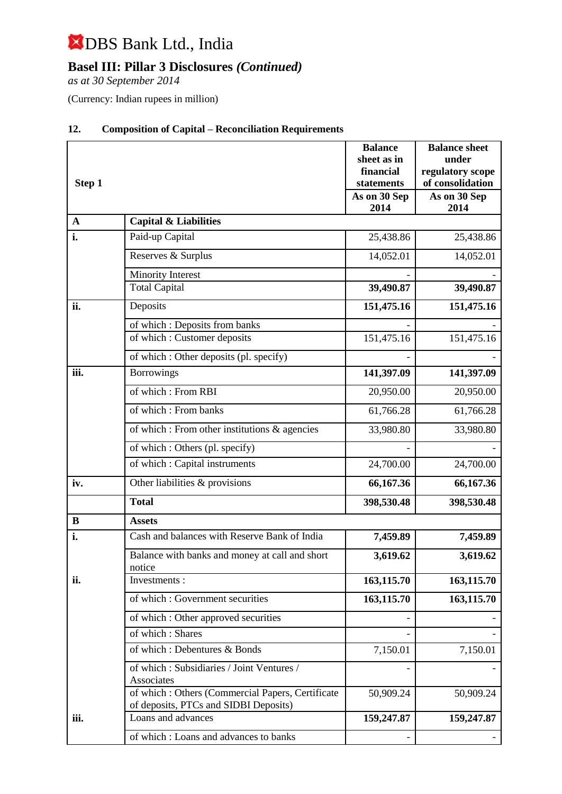## **Basel III: Pillar 3 Disclosures** *(Continued)*

*as at 30 September 2014*

(Currency: Indian rupees in million)

| Step 1      |                                                                                           | <b>Balance</b><br>sheet as in<br>financial<br>statements<br>As on 30 Sep<br>2014 | <b>Balance sheet</b><br>under<br>regulatory scope<br>of consolidation<br>As on 30 Sep<br>2014 |  |
|-------------|-------------------------------------------------------------------------------------------|----------------------------------------------------------------------------------|-----------------------------------------------------------------------------------------------|--|
| $\mathbf A$ | <b>Capital &amp; Liabilities</b>                                                          |                                                                                  |                                                                                               |  |
| i.          | Paid-up Capital                                                                           | 25,438.86                                                                        | 25,438.86                                                                                     |  |
|             | Reserves & Surplus                                                                        | 14,052.01                                                                        | 14,052.01                                                                                     |  |
|             | <b>Minority Interest</b>                                                                  |                                                                                  |                                                                                               |  |
|             | <b>Total Capital</b>                                                                      | 39,490.87                                                                        | 39,490.87                                                                                     |  |
| ii.         | Deposits                                                                                  | 151,475.16                                                                       | 151,475.16                                                                                    |  |
|             | of which: Deposits from banks                                                             |                                                                                  |                                                                                               |  |
|             | of which: Customer deposits                                                               | 151,475.16                                                                       | 151,475.16                                                                                    |  |
|             | of which: Other deposits (pl. specify)                                                    |                                                                                  |                                                                                               |  |
| iii.        | <b>Borrowings</b>                                                                         | 141,397.09                                                                       | 141,397.09                                                                                    |  |
|             | of which: From RBI                                                                        | 20,950.00                                                                        | 20,950.00                                                                                     |  |
|             | of which: From banks                                                                      | 61,766.28                                                                        | 61,766.28                                                                                     |  |
|             | of which : From other institutions & agencies                                             | 33,980.80                                                                        | 33,980.80                                                                                     |  |
|             | of which : Others (pl. specify)                                                           |                                                                                  |                                                                                               |  |
|             | of which : Capital instruments                                                            | 24,700.00                                                                        | 24,700.00                                                                                     |  |
| iv.         | Other liabilities & provisions                                                            | 66,167.36                                                                        | 66,167.36                                                                                     |  |
|             | <b>Total</b>                                                                              | 398,530.48                                                                       | 398,530.48                                                                                    |  |
| $\bf{B}$    | <b>Assets</b>                                                                             |                                                                                  |                                                                                               |  |
| i.          | Cash and balances with Reserve Bank of India                                              | 7,459.89                                                                         | 7,459.89                                                                                      |  |
|             | Balance with banks and money at call and short<br>notice                                  | 3,619.62                                                                         | 3,619.62                                                                                      |  |
| ii.         | Investments:                                                                              | 163,115.70                                                                       | 163,115.70                                                                                    |  |
|             | of which: Government securities                                                           | 163,115.70                                                                       | 163,115.70                                                                                    |  |
|             | of which: Other approved securities                                                       |                                                                                  |                                                                                               |  |
|             | of which: Shares                                                                          |                                                                                  |                                                                                               |  |
|             | of which: Debentures & Bonds                                                              | 7,150.01                                                                         | 7,150.01                                                                                      |  |
|             | of which: Subsidiaries / Joint Ventures /<br>Associates                                   |                                                                                  |                                                                                               |  |
|             | of which: Others (Commercial Papers, Certificate<br>of deposits, PTCs and SIDBI Deposits) | 50,909.24                                                                        | 50,909.24                                                                                     |  |
| iii.        | Loans and advances                                                                        | 159,247.87                                                                       | 159,247.87                                                                                    |  |
|             | of which: Loans and advances to banks                                                     |                                                                                  |                                                                                               |  |

#### **12. Composition of Capital – Reconciliation Requirements**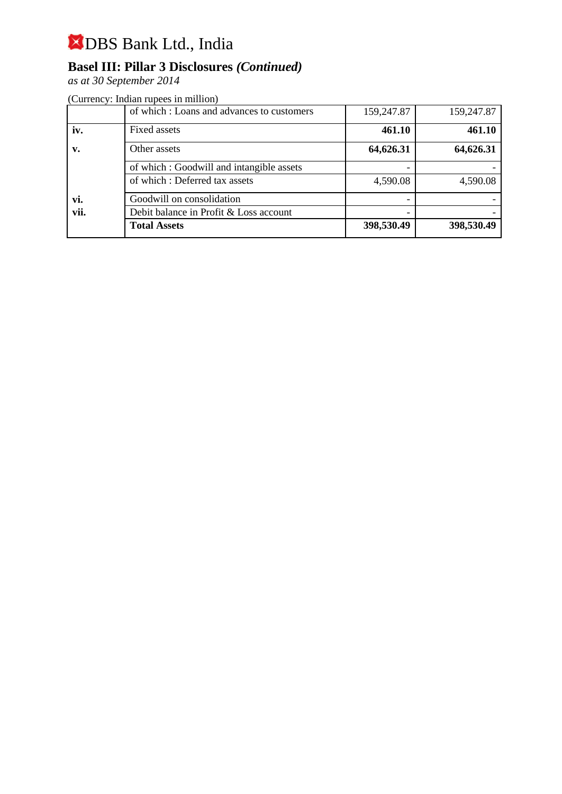## **Basel III: Pillar 3 Disclosures** *(Continued)*

*as at 30 September 2014*

|                | of which: Loans and advances to customers | 159,247.87 | 159,247.87 |
|----------------|-------------------------------------------|------------|------------|
| iv.            | Fixed assets                              | 461.10     | 461.10     |
| $\mathbf{v}$ . | Other assets                              | 64,626.31  | 64,626.31  |
|                | of which: Goodwill and intangible assets  |            |            |
|                | of which: Deferred tax assets             | 4,590.08   | 4,590.08   |
| vi.            | Goodwill on consolidation                 |            |            |
| vii.           | Debit balance in Profit & Loss account    |            |            |
|                | <b>Total Assets</b>                       | 398,530.49 | 398,530.49 |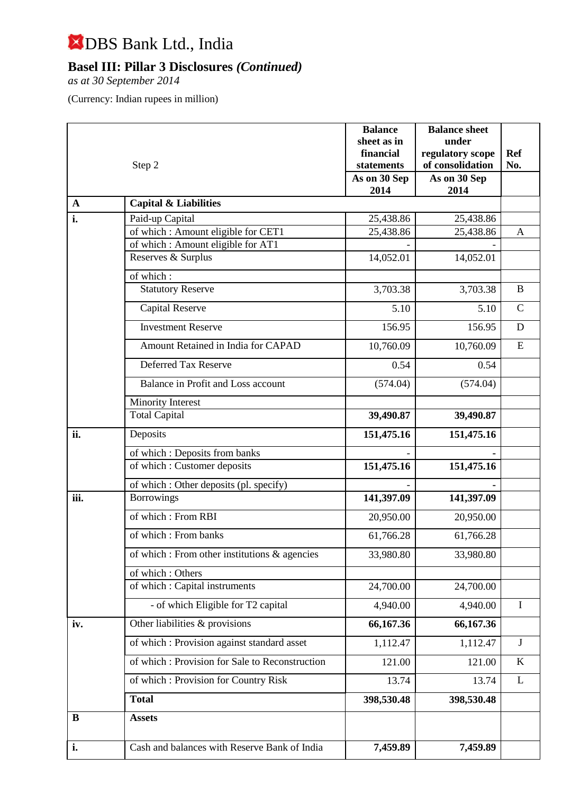## **Basel III: Pillar 3 Disclosures** *(Continued)*

*as at 30 September 2014*

| Step 2      |                                                  | <b>Balance</b><br>sheet as in<br>financial | <b>Balance sheet</b><br>under<br>regulatory scope | <b>Ref</b>   |
|-------------|--------------------------------------------------|--------------------------------------------|---------------------------------------------------|--------------|
|             |                                                  | statements                                 | of consolidation                                  | No.          |
|             |                                                  | As on 30 Sep<br>2014                       | As on 30 Sep<br>2014                              |              |
| $\mathbf A$ | <b>Capital &amp; Liabilities</b>                 |                                            |                                                   |              |
| i.          | Paid-up Capital                                  | 25,438.86                                  | 25,438.86                                         |              |
|             | of which: Amount eligible for CET1               | 25,438.86                                  | 25,438.86                                         | A            |
|             | of which: Amount eligible for AT1                |                                            |                                                   |              |
|             | Reserves & Surplus                               | 14,052.01                                  | 14,052.01                                         |              |
|             | of which:                                        |                                            |                                                   |              |
|             | <b>Statutory Reserve</b>                         | 3,703.38                                   | 3,703.38                                          | $\bf{B}$     |
|             | <b>Capital Reserve</b>                           | 5.10                                       | 5.10                                              | $\mathsf{C}$ |
|             | <b>Investment Reserve</b>                        | 156.95                                     | 156.95                                            | D            |
|             | Amount Retained in India for CAPAD               | 10,760.09                                  | 10,760.09                                         | ${\bf E}$    |
|             | Deferred Tax Reserve                             | 0.54                                       | 0.54                                              |              |
|             | Balance in Profit and Loss account               | (574.04)                                   | (574.04)                                          |              |
|             | Minority Interest                                |                                            |                                                   |              |
|             | <b>Total Capital</b>                             | 39,490.87                                  | 39,490.87                                         |              |
| ii.         | Deposits                                         | 151,475.16                                 | 151,475.16                                        |              |
|             | of which: Deposits from banks                    |                                            |                                                   |              |
|             | of which : Customer deposits                     | 151,475.16                                 | 151,475.16                                        |              |
|             | of which : Other deposits (pl. specify)          |                                            |                                                   |              |
| iii.        | <b>Borrowings</b>                                | 141,397.09                                 | 141,397.09                                        |              |
|             | of which: From RBI                               | 20,950.00                                  | 20,950.00                                         |              |
|             | of which: From banks                             | 61,766.28                                  | 61,766.28                                         |              |
|             | of which : From other institutions $\&$ agencies | 33,980.80                                  | 33,980.80                                         |              |
|             | of which: Others                                 |                                            |                                                   |              |
|             | of which : Capital instruments                   | 24,700.00                                  | 24,700.00                                         |              |
|             | - of which Eligible for T2 capital               | 4,940.00                                   | 4,940.00                                          | $\bf{I}$     |
| iv.         | Other liabilities & provisions                   | 66,167.36                                  | 66,167.36                                         |              |
|             | of which: Provision against standard asset       | 1,112.47                                   | 1,112.47                                          | $\mathbf{J}$ |
|             | of which: Provision for Sale to Reconstruction   | 121.00                                     | 121.00                                            | $\bf K$      |
|             | of which: Provision for Country Risk             | 13.74                                      | 13.74                                             | L            |
|             | <b>Total</b>                                     | 398,530.48                                 | 398,530.48                                        |              |
| B           | <b>Assets</b>                                    |                                            |                                                   |              |
| i.          | Cash and balances with Reserve Bank of India     | 7,459.89                                   | 7,459.89                                          |              |